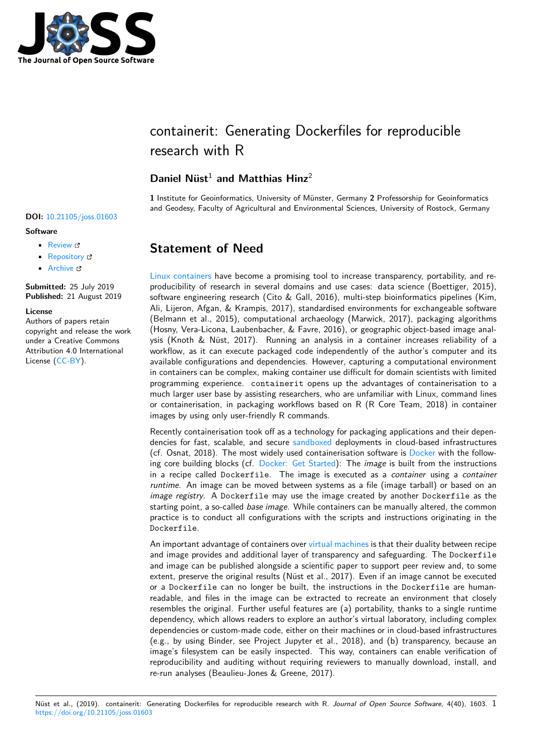

# containerit: Generating Dockerfiles for reproducible research with R

### **Daniel Nüst**<sup>1</sup> **and Matthias Hinz**<sup>2</sup>

**1** Institute for Geoinformatics, University of Münster, Germany **2** Professorship for Geoinformatics and Geodesy, Faculty of Agricultural and Environmental Sciences, University of Rostock, Germany

# **Statement of Need**

Linux containers have become a promising tool to increase transparency, portability, and reproducibility of research in several domains and use cases: data science (Boettiger, 2015), software engineering research (Cito & Gall, 2016), multi-step bioinformatics pipelines (Kim, Ali, Lijeron, Afgan, & Krampis, 2017), standardised environments for exchangeable software [\(Belmann et al.,](https://en.wikipedia.org/wiki/Operating-system-level_virtualization) 2015), computational archaeology (Marwick, 2017), packaging algorithms (Hosny, Vera-Licona, Laubenbacher, & Favre, 2016), or geographic object-based image analysis (Knoth & Nüst, 2017). Running an analysis in a container increases reliability of a workflow, as it can execute packaged code independently of the author's computer and its available configurations and dependencies. However, capturing a computational environment in containers can be complex, making container use difficult for domain scientists with limited programming experience. containerit opens up the advantages of containerisation to a much larger user base by assisting researchers, who are unfamiliar with Linux, command lines or containerisation, in packaging workflows based on R (R Core Team, 2018) in container images by using only user-friendly R commands.

Recently containerisation took off as a technology for packaging applications and their dependencies for fast, scalable, and secure sandboxed deployments in cloud-based infrastructures (cf. Osnat, 2018). The most widely used containerisation software is Docker with the following core building blocks (cf. Docker: Get Started): The *image* is built from the instructions in a recipe called Dockerfile. The image is executed as a *container* using a *container runtime*. An image can be moved be[tween syste](https://en.wikipedia.org/wiki/Sandbox_%28computer_security%29)ms as a file (image tarball) or based on an *image registry*. A Dockerfile may use the image created by another [Doc](https://en.wikipedia.org/wiki/Docker_%28software%29)kerfile as the starting point, a so-called *base image*[. While conta](https://docs.docker.com/get-started/)iners can be manually altered, the common practice is to conduct all configurations with the scripts and instructions originating in the Dockerfile.

An important advantage of containers over virtual machines is that their duality between recipe and image provides and additional layer of transparency and safeguarding. The Dockerfile and image can be published alongside a scientific paper to support peer review and, to some extent, preserve the original results (Nüst et al., 2017). Even if an image cannot be executed or a Dockerfile can no longer be built, [the instructions](https://en.wikipedia.org/wiki/Virtual_machine) in the Dockerfile are humanreadable, and files in the image can be extracted to recreate an environment that closely resembles the original. Further useful features are (a) portability, thanks to a single runtime dependency, which allows readers to explore an author's virtual laboratory, including complex dependencies or custom-made code, either on their machines or in cloud-based infrastructures (e.g., by using Binder, see Project Jupyter et al., 2018), and (b) transparency, because an image's filesystem can be easily inspected. This way, containers can enable verification of reproducibility and auditing without requiring reviewers to manually download, install, and re-run analyses (Beaulieu-Jones & Greene, 2017).

#### **DOI:** 10.21105/joss.01603

#### **Software**

- Review L'
- [Repository](https://doi.org/10.21105/joss.01603) &
- Archive

**Subm[itted:](https://github.com/openjournals/joss-reviews/issues/1603)** 25 July 2019 **Published:** [21 Au](https://github.com/o2r-project/containerit/)gust 2019

#### **Licen[se](https://doi.org/10.5281/zenodo.3373289)**

Authors of papers retain copyright and release the work under a Creative Commons Attribution 4.0 International License (CC-BY).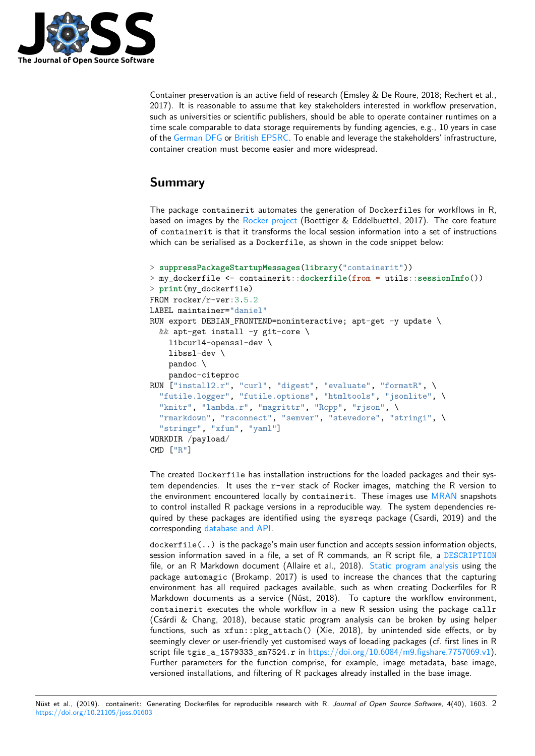

Container preservation is an active field of research (Emsley & De Roure, 2018; Rechert et al., 2017). It is reasonable to assume that key stakeholders interested in workflow preservation, such as universities or scientific publishers, should be able to operate container runtimes on a time scale comparable to data storage requirements by funding agencies, e.g., 10 years in case of the German DFG or British EPSRC. To enable and leverage the stakeholders' infrastructure, container creation must become easier and more widespread.

## **Su[mmary](http://www.dfg.de/en/research_funding/proposal_review_decision/applicants/research_data/index.html)**

The package containerit automates the generation of Dockerfiles for workflows in R, based on images by the Rocker project (Boettiger & Eddelbuettel, 2017). The core feature of containerit is that it transforms the local session information into a set of instructions which can be serialised as a Dockerfile, as shown in the code snippet below:

```
> suppressPackageStartupMessages(library("containerit"))
> my_dockerfile <- containerit::dockerfile(from = utils::sessionInfo())
> print(my_dockerfile)
FROM rocker/r-ver:3.5.2
LABEL maintainer="daniel"
RUN export DEBIAN_FRONTEND=noninteractive; apt-get -y update \
  && apt-get install -y git-core \
    libcurl4-openssl-dev \
    libssl-dev \
    pandoc \
    pandoc-citeproc
RUN ["install2.r", "curl", "digest", "evaluate", "formatR", \
  "futile.logger", "futile.options", "htmltools", "jsonlite", \
  "knitr", "lambda.r", "magrittr", "Rcpp", "rjson", \setminus"rmarkdown", "rsconnect", "semver", "stevedore", "stringi", \
  "stringr", "xfun", "yaml"]
WORKDIR /payload/
CMD ["R"]
```
The created Dockerfile has installation instructions for the loaded packages and their system dependencies. It uses the  $r$ -ver stack of Rocker images, matching the R version to the environment encountered locally by containerit. These images use MRAN snapshots to control installed R package versions in a reproducible way. The system dependencies required by these packages are identified using the sysreqs package (Csardi, 2019) and the corresponding database and API.

dockerfile(..) is the package's main user function and accepts session in[formatio](https://mran.microsoft.com/)n objects, session information saved in a file, a set of R commands, an R script file, a DESCRIPTION file, or an R [Markdown docume](http://sysreqs.r-hub.io/)nt (Allaire et al., 2018). Static program analysis using the package automagic (Brokamp, 2017) is used to increase the chances that the capturing environment has all required packages available, such as when creating Dockerfiles for R Markdown documents as a service (Nüst, 2018). To capture the workflow [environment,](https://cran.r-project.org/doc/manuals/r-release/R-exts.html#The-DESCRIPTION-file) containerit executes the whole workflow in a new R [session using the packa](https://en.wikipedia.org/wiki/Static_program_analysis)ge callr (Csárdi & Chang, 2018), because static program analysis can be broken by using helper functions, such as xfun::pkg\_attach() (Xie, 2018), by unintended side effects, or by seemingly clever or user-friendly yet customised ways of loeading packages (cf. first lines in R script file tgis\_a\_1579333\_sm7524.r in https://doi.org/10.6084/m9.figshare.7757069.v1). Further parameters for the function comprise, for example, image metadata, base image, versioned installations, and filtering of R packages already installed in the base image.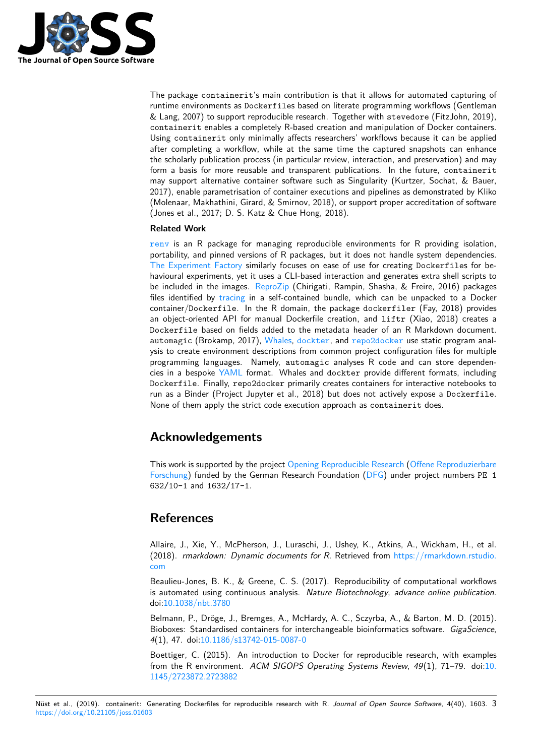

The package containerit's main contribution is that it allows for automated capturing of runtime environments as Dockerfiles based on literate programming workflows (Gentleman & Lang, 2007) to support reproducible research. Together with stevedore (FitzJohn, 2019), containerit enables a completely R-based creation and manipulation of Docker containers. Using containerit only minimally affects researchers' workflows because it can be applied after completing a workflow, while at the same time the captured snapshots can enhance the scholarly publication process (in particular review, interaction, and preservation) and may form a basis for more reusable and transparent publications. In the future, containerit may support alternative container software such as Singularity (Kurtzer, Sochat, & Bauer, 2017), enable parametrisation of container executions and pipelines as demonstrated by Kliko (Molenaar, Makhathini, Girard, & Smirnov, 2018), or support proper accreditation of software (Jones et al., 2017; D. S. Katz & Chue Hong, 2018).

#### **Related Work**

renv is an R package for managing reproducible environments for R providing isolation, portability, and pinned versions of R packages, but it does not handle system dependencies. The Experiment Factory similarly focuses on ease of use for creating Dockerfiles for behavioural experiments, yet it uses a CLI-based interaction and generates extra shell scripts to [be in](https://github.com/rstudio/renv/)cluded in the images. ReproZip (Chirigati, Rampin, Shasha, & Freire, 2016) packages files identified by tracing in a self-contained bundle, which can be unpacked to a Docker container/[Dockerfile](https://expfactory.github.io/). In the R domain, the package dockerfiler (Fay, 2018) provides an object-oriented API for manual Dockerfile creation, and liftr (Xiao, 2018) creates a Dockerfile based on field[s added t](https://www.reprozip.org/)o the metadata header of an R Markdown document. automagic (Brok[amp, 20](https://en.wikipedia.org/wiki/Tracing_(software))17), Whales, dockter, and repo2docker use static program analysis to create environment descriptions from common project configuration files for multiple programming languages. Namely, automagic analyses R code and can store dependencies in a bespoke YAML format. Whales and dockter provide different formats, including Dockerfile. Finally, repo2d[ocker](https://github.com/Gueils/whales) pri[marily cr](https://github.com/stencila/dockter/)eates [containers for](https://github.com/jupyter/repo2docker) interactive notebooks to run as a Binder (Project Jupyter et al., 2018) but does not actively expose a Dockerfile. None of them apply the strict code execution approach as containerit does.

### **Acknowledgements**

This work is supported by the project Opening Reproducible Research (Offene Reproduzierbare Forschung) funded by the German Research Foundation (DFG) under project numbers PE 1 632/10-1 and 1632/17-1.

### **[Refere](https://www.uni-muenster.de/forschungaz/project/9520)nces**

Allaire, J., Xie, Y., McPherson, J., Luraschi, J., Ushey, K., Atkins, A., Wickham, H., et al. (2018). *rmarkdown: Dynamic documents for R*. Retrieved from https://rmarkdown.rstudio. com

Beaulieu-Jones, B. K., & Greene, C. S. (2017). Reproducibility of computational workflows is automated using continuous analysis. *Nature Biotechnology*, *[advance online publication](https://rmarkdown.rstudio.com)*. [doi:1](https://rmarkdown.rstudio.com)0.1038/nbt.3780

Belmann, P., Dröge, J., Bremges, A., McHardy, A. C., Sczyrba, A., & Barton, M. D. (2015). Bioboxes: Standardised containers for interchangeable bioinformatics software. *GigaScience*, *4*(1[\), 47. doi:10.1186/](https://doi.org/10.1038/nbt.3780)s13742-015-0087-0

Boettiger, C. (2015). An introduction to Docker for reproducible research, with examples from the R environment. *ACM SIGOPS Operating Systems Review*, *49*(1), 71–79. doi:10. 1145/272387[2.2723882](https://doi.org/10.1186/s13742-015-0087-0)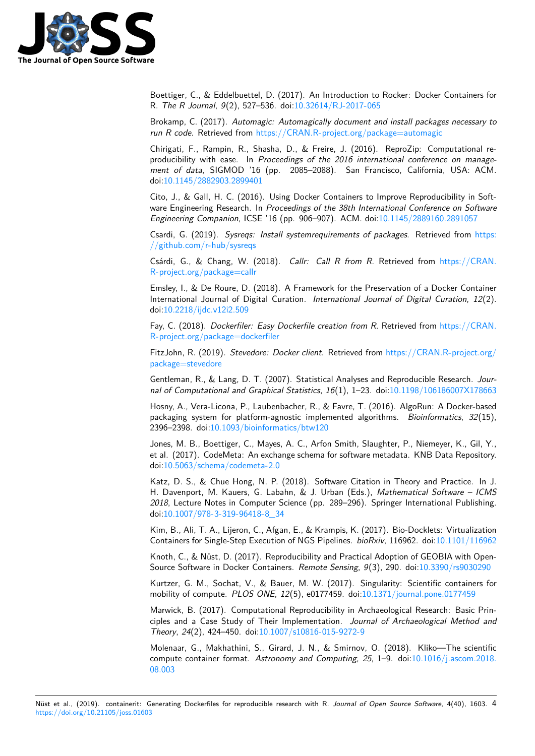

Boettiger, C., & Eddelbuettel, D. (2017). An Introduction to Rocker: Docker Containers for R. *The R Journal*, *9*(2), 527–536. doi:10.32614/RJ-2017-065

Brokamp, C. (2017). *Automagic: Automagically document and install packages necessary to run R code*. Retrieved from https://CRAN.R-project.org/package=automagic

Chirigati, F., Rampin, R., Shasha, D[., & Freire, J. \(2016\).](https://doi.org/10.32614/RJ-2017-065) ReproZip: Computational reproducibility with ease. In *Proceedings of the 2016 international conference on management of data*, SIGMOD '[16 \(pp. 2085–2088\). San Francisco, California](https://CRAN.R-project.org/package=automagic), USA: ACM. doi:10.1145/2882903.2899401

Cito, J., & Gall, H. C. (2016). Using Docker Containers to Improve Reproducibility in Software Engineering Research. In *Proceedings of the 38th International Conference on Software En[gineering Companion](https://doi.org/10.1145/2882903.2899401)*, ICSE '16 (pp. 906–907). ACM. doi:10.1145/2889160.2891057

Csardi, G. (2019). *Sysreqs: Install systemrequirements of packages*. Retrieved from https: //github.com/r-hub/sysreqs

Csárdi, G., & Chang, W. (2018). *Callr: Call R from R*. [Retrieved from](https://doi.org/10.1145/2889160.2891057) https://CRAN. R-project.org/package=callr

[Emsley, I., & De Roure, D. \(](https://github.com/r-hub/sysreqs)2018). A Framework for the Preservation of a Docker Con[tainer](https://github.com/r-hub/sysreqs) International Journal of Digital Curation. *International Journal of Digital [Curation](https://CRAN.R-project.org/package=callr)*, *12*(2). [doi:10.2218/ijdc.v12i2.509](https://CRAN.R-project.org/package=callr)

Fay, C. (2018). *Dockerfiler: Easy Dockerfile creation from R*. Retrieved from https://CRAN. R-project.org/package=dockerfiler

Fit[zJohn, R. \(2019\).](https://doi.org/10.2218/ijdc.v12i2.509) *Stevedore: Docker client*. Retrieved from https://CRAN.R-project.org/ package=stevedore

[Gentleman, R., & Lang, D. T. \(200](https://CRAN.R-project.org/package=dockerfiler)7). Statistical Analyses and Reproducible [Research.](https://CRAN.R-project.org/package=dockerfiler) *Journal of Computational and Graphical Statistics*, *16*(1), 1–23. do[i:10.1198/106186007X178663](https://CRAN.R-project.org/package=stevedore)

[Hosny, A., Vera-Lico](https://CRAN.R-project.org/package=stevedore)na, P., Laubenbacher, R., & Favre, T. (2016). AlgoRun: A Docker-based packaging system for platform-agnostic implemented algorithms. *Bioinformatics*, *32*(15), 2396–2398. doi:10.1093/bioinformatics/btw120

Jones, M. B., Boettiger, C., Mayes, A. C., Arfon Smith, Slaugh[ter, P., Niemeyer, K., Gil, Y.,](https://doi.org/10.1198/106186007X178663) et al. (2017). CodeMeta: An exchange schema for software metadata. KNB Data Repository. doi:10.5063/sch[ema/codemeta-2.0](https://doi.org/10.1093/bioinformatics/btw120)

Katz, D. S., & Chue Hong, N. P. (2018). Software Citation in Theory and Practice. In J. H. Davenport, M. Kauers, G. Labahn, & J. Urban (Eds.), *Mathematical Software – ICMS 2018*, Lecture Notes in Computer Science (pp. 289–296). Springer International Publishing. doi[:10.1007/978-3-319-96418-8\\_34](https://doi.org/10.5063/schema/codemeta-2.0)

Kim, B., Ali, T. A., Lijeron, C., Afgan, E., & Krampis, K. (2017). Bio-Docklets: Virtualization Containers for Single-Step Execution of NGS Pipelines. *bioRxiv*, 116962. doi:10.1101/116962

Kn[oth, C., & Nüst, D. \(2017\). Repro](https://doi.org/10.1007/978-3-319-96418-8_34)ducibility and Practical Adoption of GEOBIA with Open-Source Software in Docker Containers. *Remote Sensing*, *9*(3), 290. doi:10.3390/rs9030290

Kurtzer, G. M., Sochat, V., & Bauer, M. W. (2017). Singularity: Scienti[fic containers for](https://doi.org/10.1101/116962) mobility of compute. *PLOS ONE*, *12*(5), e0177459. doi:10.1371/journal.pone.0177459

Marwick, B. (2017). Computational Reproducibility in Archaeological [Research: Basic Prin](https://doi.org/10.3390/rs9030290)ciples and a Case Study of Their Implementation. *Journal of Archaeological Method and Theory*, *24*(2), 424–450. doi:10.1007/s10816-015-9272-9

Molenaar, G., Makhathini, S., Girard, J. N., & Smirno[v, O. \(2018\). Kliko—The scie](https://doi.org/10.1371/journal.pone.0177459)ntific compute container format. *Astronomy and Computing*, *25*, 1–9. doi:10.1016/j.ascom.2018. 08.003